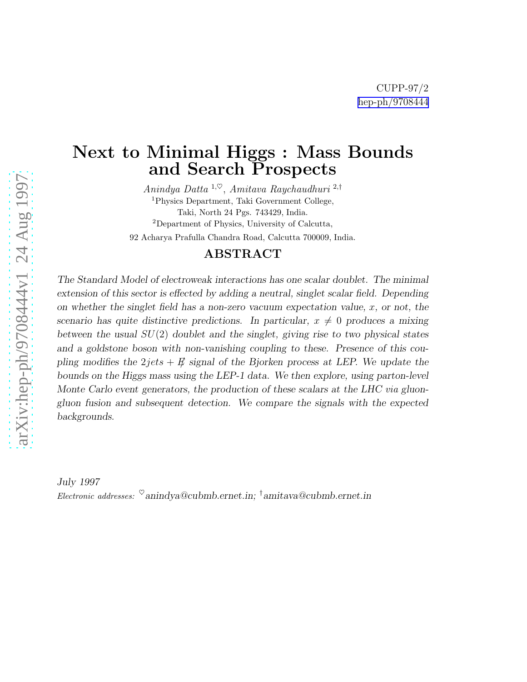## Next to Minimal Higgs : Mass Bounds and Search Prospects

Anindya Datta  $1, \heartsuit$ , Amitava Raychaudhuri  $2, \dagger$ <sup>1</sup>Physics Department, Taki Government College, Taki, North 24 Pgs. 743429, India. <sup>2</sup>Department of Physics, University of Calcutta,

92 Acharya Prafulla Chandra Road, Calcutta 700009, India.

#### ABSTRACT

The Standard Model of electroweak interactions has one scalar doublet. The minimal extension of this sector is effected by adding a neutral, singlet scalar field. Depending on whether the singlet field has a non-zero vacuum expectation value,  $x$ , or not, the scenario has quite distinctive predictions. In particular,  $x \neq 0$  produces a mixing between the usual  $SU(2)$  doublet and the singlet, giving rise to two physical states and a goldstone boson with non-vanishing coupling to these. Presence of this coupling modifies the  $2jets + E$  signal of the Bjorken process at LEP. We update the bounds on the Higgs mass using the LEP-1 data. We then explore, using parton-level Monte Carlo event generators, the production of these scalars at the LHC via gluongluon fusion and subsequent detection. We compare the signals with the expected backgrounds.

July 1997 Electronic addresses:  $^{\heartsuit}$ anindya@cubmb.ernet.in; <sup>†</sup>amitava@cubmb.ernet.in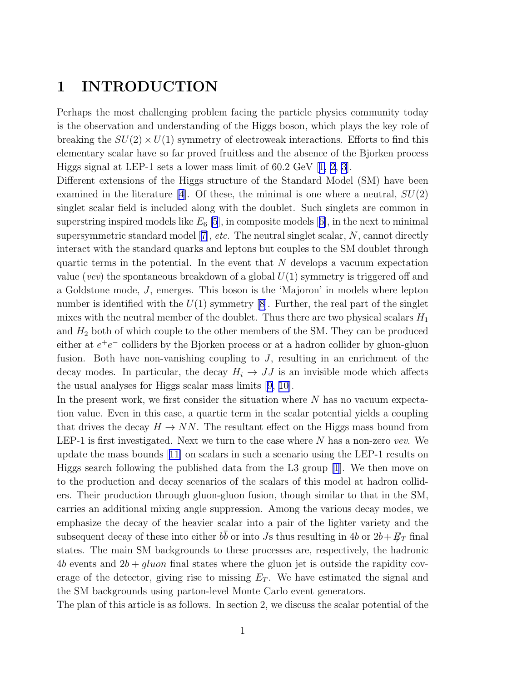## 1 INTRODUCTION

Perhaps the most challenging problem facing the particle physics community today is the observation and understanding of the Higgs boson, which plays the key role of breaking the  $SU(2) \times U(1)$  symmetry of electroweak interactions. Efforts to find this elementary scalar have so far proved fruitless and the absence of the Bjorken process Higgs signal at LEP-1 sets a lower mass limit of 60.2 GeV [\[1, 2, 3\]](#page-12-0).

Different extensions of the Higgs structure of the Standard Model (SM) have been examined in the literature [\[4](#page-12-0)]. Of these, the minimal is one where a neutral,  $SU(2)$ singlet scalar field is included along with the doublet. Such singlets are common in superstringinspired models like  $E_6$  [\[5](#page-12-0)], in composite models [[6\]](#page-12-0), in the next to minimal supersymmetricstandard model  $[7]$  $[7]$ , *etc.* The neutral singlet scalar,  $N$ , cannot directly interact with the standard quarks and leptons but couples to the SM doublet through quartic terms in the potential. In the event that  $N$  develops a vacuum expectation value (vev) the spontaneous breakdown of a global  $U(1)$  symmetry is triggered off and a Goldstone mode, J, emerges. This boson is the 'Majoron' in models where lepton numberis identified with the  $U(1)$  symmetry [[8\]](#page-12-0). Further, the real part of the singlet mixes with the neutral member of the doublet. Thus there are two physical scalars  $H_1$ and  $H_2$  both of which couple to the other members of the SM. They can be produced either at  $e^+e^-$  colliders by the Bjorken process or at a hadron collider by gluon-gluon fusion. Both have non-vanishing coupling to  $J$ , resulting in an enrichment of the decay modes. In particular, the decay  $H_i \to JJ$  is an invisible mode which affects the usual analyses for Higgs scalar mass limits[[9, 10\]](#page-12-0).

In the present work, we first consider the situation where  $N$  has no vacuum expectation value. Even in this case, a quartic term in the scalar potential yields a coupling that drives the decay  $H \to NN$ . The resultant effect on the Higgs mass bound from LEP-1 is first investigated. Next we turn to the case where  $N$  has a non-zero vev. We update the mass bounds[[11\]](#page-12-0) on scalars in such a scenario using the LEP-1 results on Higgs search following the published data from the L3 group [\[1](#page-12-0)]. We then move on to the production and decay scenarios of the scalars of this model at hadron colliders. Their production through gluon-gluon fusion, though similar to that in the SM, carries an additional mixing angle suppression. Among the various decay modes, we emphasize the decay of the heavier scalar into a pair of the lighter variety and the subsequent decay of these into either  $b\bar{b}$  or into Js thus resulting in 4b or  $2b+\cancel{E}_T$  final states. The main SM backgrounds to these processes are, respectively, the hadronic 4b events and  $2b + gluon$  final states where the gluon jet is outside the rapidity coverage of the detector, giving rise to missing  $E_T$ . We have estimated the signal and the SM backgrounds using parton-level Monte Carlo event generators.

The plan of this article is as follows. In section 2, we discuss the scalar potential of the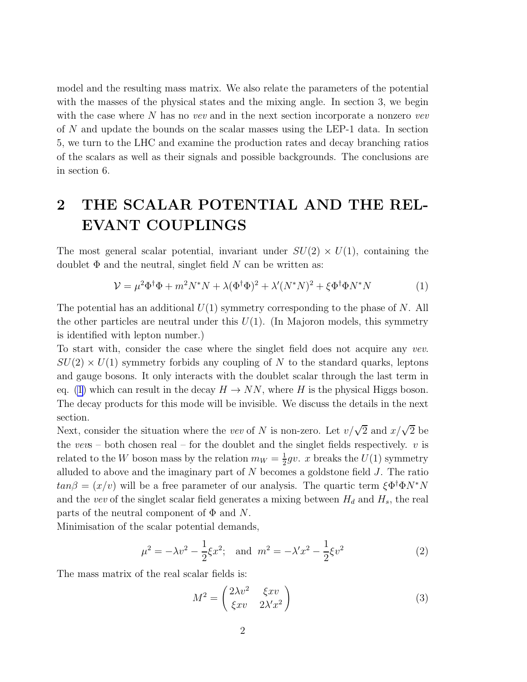<span id="page-2-0"></span>model and the resulting mass matrix. We also relate the parameters of the potential with the masses of the physical states and the mixing angle. In section 3, we begin with the case where  $N$  has no vev and in the next section incorporate a nonzero vev of N and update the bounds on the scalar masses using the LEP-1 data. In section 5, we turn to the LHC and examine the production rates and decay branching ratios of the scalars as well as their signals and possible backgrounds. The conclusions are in section 6.

# 2 THE SCALAR POTENTIAL AND THE REL-EVANT COUPLINGS

The most general scalar potential, invariant under  $SU(2) \times U(1)$ , containing the doublet  $\Phi$  and the neutral, singlet field N can be written as:

$$
\mathcal{V} = \mu^2 \Phi^\dagger \Phi + m^2 N^* N + \lambda (\Phi^\dagger \Phi)^2 + \lambda' (N^* N)^2 + \xi \Phi^\dagger \Phi N^* N \tag{1}
$$

The potential has an additional  $U(1)$  symmetry corresponding to the phase of N. All the other particles are neutral under this  $U(1)$ . (In Majoron models, this symmetry is identified with lepton number.)

To start with, consider the case where the singlet field does not acquire any vev.  $SU(2) \times U(1)$  symmetry forbids any coupling of N to the standard quarks, leptons and gauge bosons. It only interacts with the doublet scalar through the last term in eq. (1) which can result in the decay  $H \to NN$ , where H is the physical Higgs boson. The decay products for this mode will be invisible. We discuss the details in the next section.

Next, consider the situation where the vev of N is non-zero. Let  $v/\sqrt{2}$  and  $x/\sqrt{2}$  be the vevs – both chosen real – for the doublet and the singlet fields respectively.  $v$  is related to the W boson mass by the relation  $m_W = \frac{1}{2}$  $\frac{1}{2}gv$ . *x* breaks the  $U(1)$  symmetry alluded to above and the imaginary part of  $N$  becomes a goldstone field  $J$ . The ratio  $tan\beta = (x/v)$  will be a free parameter of our analysis. The quartic term  $\xi \Phi^{\dagger} \Phi N^* N$ and the vev of the singlet scalar field generates a mixing between  $H_d$  and  $H_s$ , the real parts of the neutral component of  $\Phi$  and N.

Minimisation of the scalar potential demands,

$$
\mu^2 = -\lambda v^2 - \frac{1}{2}\xi x^2; \text{ and } m^2 = -\lambda' x^2 - \frac{1}{2}\xi v^2
$$
 (2)

The mass matrix of the real scalar fields is:

$$
M^{2} = \begin{pmatrix} 2\lambda v^{2} & \xi xv \\ \xi xv & 2\lambda' x^{2} \end{pmatrix}
$$
 (3)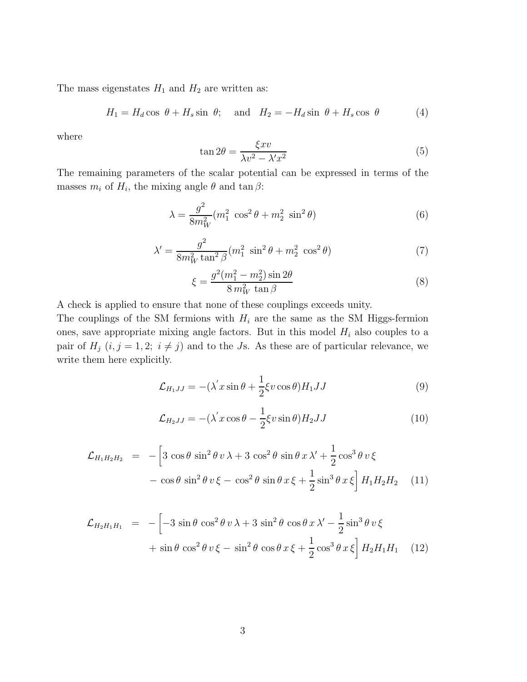<span id="page-3-0"></span>The mass eigenstates  $H_1$  and  $H_2$  are written as:

$$
H_1 = H_d \cos \theta + H_s \sin \theta; \text{ and } H_2 = -H_d \sin \theta + H_s \cos \theta \tag{4}
$$

where

$$
\tan 2\theta = \frac{\xi xv}{\lambda v^2 - \lambda' x^2} \tag{5}
$$

The remaining parameters of the scalar potential can be expressed in terms of the masses  $m_i$  of  $H_i$ , the mixing angle  $\theta$  and  $\tan \beta$ :

$$
\lambda = \frac{g^2}{8m_W^2} (m_1^2 \cos^2 \theta + m_2^2 \sin^2 \theta) \tag{6}
$$

$$
\lambda' = \frac{g^2}{8m_W^2 \tan^2 \beta} (m_1^2 \sin^2 \theta + m_2^2 \cos^2 \theta)
$$
 (7)

$$
\xi = \frac{g^2(m_1^2 - m_2^2)\sin 2\theta}{8\,m_W^2\,\tan\beta} \tag{8}
$$

A check is applied to ensure that none of these couplings exceeds unity.

The couplings of the SM fermions with  $H_i$  are the same as the SM Higgs-fermion ones, save appropriate mixing angle factors. But in this model  $H_i$  also couples to a pair of  $H_j$   $(i, j = 1, 2; i \neq j)$  and to the Js. As these are of particular relevance, we write them here explicitly.

$$
\mathcal{L}_{H_1JJ} = -(\lambda' x \sin \theta + \frac{1}{2} \xi v \cos \theta) H_1 JJ \tag{9}
$$

$$
\mathcal{L}_{H_2JJ} = -(\lambda' x \cos \theta - \frac{1}{2} \xi v \sin \theta) H_2 JJ \tag{10}
$$

$$
\mathcal{L}_{H_1 H_2 H_2} = -\left[3\cos\theta\sin^2\theta v\,\lambda + 3\cos^2\theta\sin\theta x\,\lambda' + \frac{1}{2}\cos^3\theta v\,\xi - \cos\theta\sin^2\theta v\,\xi - \cos^2\theta\sin\theta x\,\xi + \frac{1}{2}\sin^3\theta x\,\xi\right]H_1 H_2 H_2 \quad (11)
$$

$$
\mathcal{L}_{H_2H_1H_1} = -\left[ -3\sin\theta\cos^2\theta v \lambda + 3\sin^2\theta\cos\theta x \lambda' - \frac{1}{2}\sin^3\theta v \xi \right. \left. + \sin\theta\cos^2\theta v \xi - \sin^2\theta\cos\theta x \xi + \frac{1}{2}\cos^3\theta x \xi \right] H_2H_1H_1 \quad (12)
$$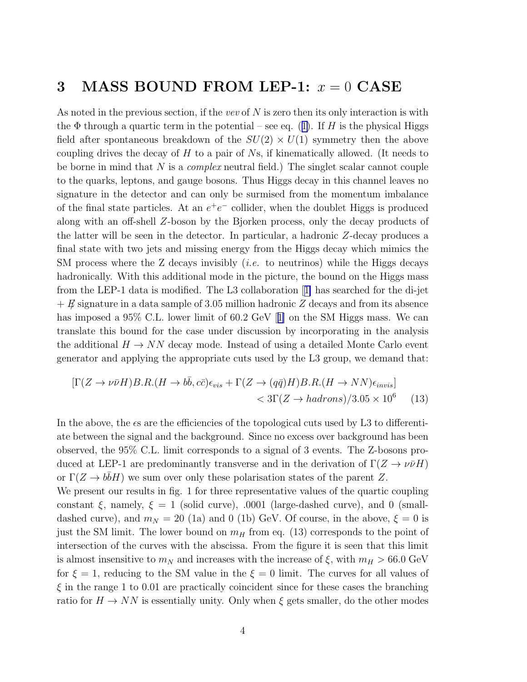## 3 MASS BOUND FROM LEP-1:  $x = 0$  CASE

As noted in the previous section, if the vev of  $N$  is zero then its only interaction is with the $\Phi$  through a quartic term in the potential – see eq. ([1\)](#page-2-0). If H is the physical Higgs field after spontaneous breakdown of the  $SU(2) \times U(1)$  symmetry then the above coupling drives the decay of  $H$  to a pair of  $N_s$ , if kinematically allowed. (It needs to be borne in mind that N is a *complex* neutral field.) The singlet scalar cannot couple to the quarks, leptons, and gauge bosons. Thus Higgs decay in this channel leaves no signature in the detector and can only be surmised from the momentum imbalance of the final state particles. At an  $e^+e^-$  collider, when the doublet Higgs is produced along with an off-shell Z-boson by the Bjorken process, only the decay products of the latter will be seen in the detector. In particular, a hadronic Z-decay produces a final state with two jets and missing energy from the Higgs decay which mimics the SM process where the Z decays invisibly *(i.e.* to neutrinos) while the Higgs decays hadronically. With this additional mode in the picture, the bound on the Higgs mass from the LEP-1 data is modified. The L3 collaboration[[1\]](#page-12-0) has searched for the di-jet  $+ E$  signature in a data sample of 3.05 million hadronic Z decays and from its absence hasimposed a 95% C.L. lower limit of 60.2 GeV [[1\]](#page-12-0) on the SM Higgs mass. We can translate this bound for the case under discussion by incorporating in the analysis the additional  $H \to NN$  decay mode. Instead of using a detailed Monte Carlo event generator and applying the appropriate cuts used by the L3 group, we demand that:

$$
[\Gamma(Z \to \nu \bar{\nu} H) B.R.(H \to b\bar{b}, c\bar{c})\epsilon_{vis} + \Gamma(Z \to (q\bar{q})H) B.R.(H \to NN)\epsilon_{invis}]
$$
  

$$
< 3\Gamma(Z \to hadrons)/3.05 \times 10^6 \tag{13}
$$

In the above, the es are the efficiencies of the topological cuts used by L3 to differentiate between the signal and the background. Since no excess over background has been observed, the 95% C.L. limit corresponds to a signal of 3 events. The Z-bosons produced at LEP-1 are predominantly transverse and in the derivation of  $\Gamma(Z \to \nu \bar{\nu} H)$ or  $\Gamma(Z \to b\bar{b}H)$  we sum over only these polarisation states of the parent Z. We present our results in fig. 1 for three representative values of the quartic coupling constant  $\xi$ , namely,  $\xi = 1$  (solid curve), .0001 (large-dashed curve), and 0 (smalldashed curve), and  $m_N = 20$  (1a) and 0 (1b) GeV. Of course, in the above,  $\xi = 0$  is

just the SM limit. The lower bound on  $m_H$  from eq. (13) corresponds to the point of intersection of the curves with the abscissa. From the figure it is seen that this limit is almost insensitive to  $m_N$  and increases with the increase of  $\xi$ , with  $m_H > 66.0$  GeV for  $\xi = 1$ , reducing to the SM value in the  $\xi = 0$  limit. The curves for all values of  $\xi$  in the range 1 to 0.01 are practically coincident since for these cases the branching ratio for  $H \to NN$  is essentially unity. Only when  $\xi$  gets smaller, do the other modes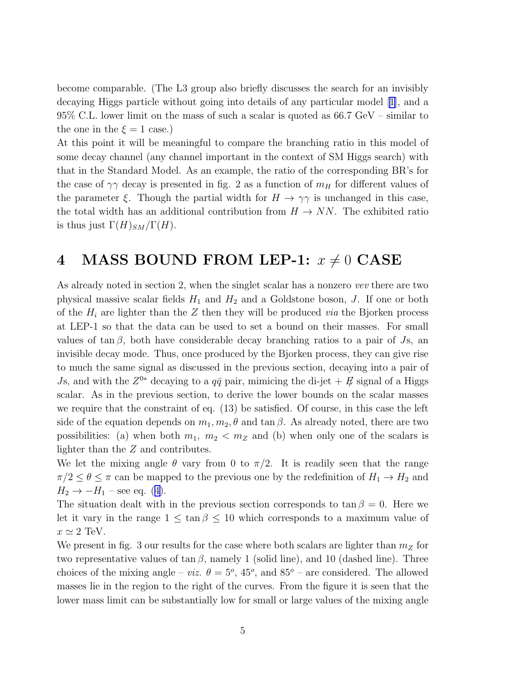become comparable. (The L3 group also briefly discusses the search for an invisibly decaying Higgs particle without going into details of any particular model[[1\]](#page-12-0), and a 95% C.L. lower limit on the mass of such a scalar is quoted as 66.7 GeV – similar to the one in the  $\xi = 1$  case.)

At this point it will be meaningful to compare the branching ratio in this model of some decay channel (any channel important in the context of SM Higgs search) with that in the Standard Model. As an example, the ratio of the corresponding BR's for the case of  $\gamma\gamma$  decay is presented in fig. 2 as a function of  $m_H$  for different values of the parameter  $\xi$ . Though the partial width for  $H \to \gamma\gamma$  is unchanged in this case, the total width has an additional contribution from  $H \to NN$ . The exhibited ratio is thus just  $\Gamma(H)_{SM}/\Gamma(H)$ .

## 4 MASS BOUND FROM LEP-1:  $x \neq 0$  CASE

As already noted in section 2, when the singlet scalar has a nonzero vev there are two physical massive scalar fields  $H_1$  and  $H_2$  and a Goldstone boson, J. If one or both of the  $H_i$  are lighter than the Z then they will be produced *via* the Bjorken process at LEP-1 so that the data can be used to set a bound on their masses. For small values of  $tan \beta$ , both have considerable decay branching ratios to a pair of Js, an invisible decay mode. Thus, once produced by the Bjorken process, they can give rise to much the same signal as discussed in the previous section, decaying into a pair of Js, and with the  $Z^{0*}$  decaying to a  $q\bar{q}$  pair, mimicing the di-jet  $+$   $E$  signal of a Higgs scalar. As in the previous section, to derive the lower bounds on the scalar masses we require that the constraint of eq. (13) be satisfied. Of course, in this case the left side of the equation depends on  $m_1, m_2, \theta$  and tan  $\beta$ . As already noted, there are two possibilities: (a) when both  $m_1, m_2 < m_Z$  and (b) when only one of the scalars is lighter than the Z and contributes.

We let the mixing angle  $\theta$  vary from 0 to  $\pi/2$ . It is readily seen that the range  $\pi/2 \leq \theta \leq \pi$  can be mapped to the previous one by the redefinition of  $H_1 \to H_2$  and  $H_2 \rightarrow -H_1$  $H_2 \rightarrow -H_1$  $H_2 \rightarrow -H_1$  – see eq. ([4\)](#page-3-0).

The situation dealt with in the previous section corresponds to  $\tan \beta = 0$ . Here we let it vary in the range  $1 \leq \tan \beta \leq 10$  which corresponds to a maximum value of  $x \simeq 2$  TeV.

We present in fig. 3 our results for the case where both scalars are lighter than  $m_Z$  for two representative values of  $\tan \beta$ , namely 1 (solid line), and 10 (dashed line). Three choices of the mixing angle – *viz.*  $\theta = 5^{\circ}$ , 45<sup>o</sup>, and 85<sup>o</sup> – are considered. The allowed masses lie in the region to the right of the curves. From the figure it is seen that the lower mass limit can be substantially low for small or large values of the mixing angle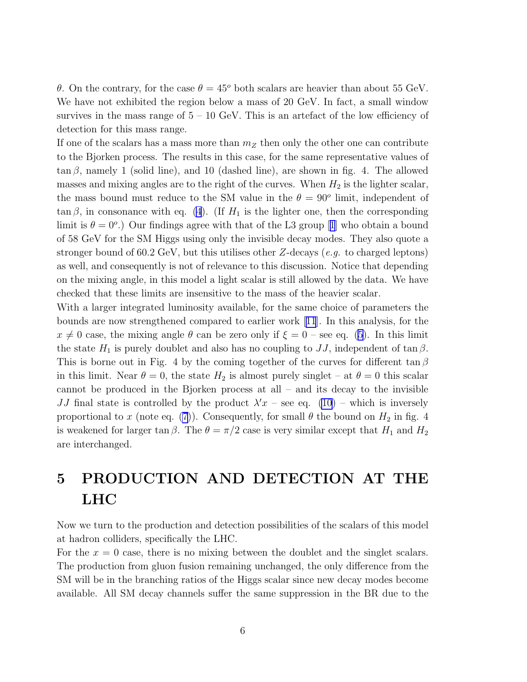θ. On the contrary, for the case  $θ = 45°$  both scalars are heavier than about 55 GeV. We have not exhibited the region below a mass of 20 GeV. In fact, a small window survives in the mass range of  $5 - 10$  GeV. This is an artefact of the low efficiency of detection for this mass range.

If one of the scalars has a mass more than  $m_Z$  then only the other one can contribute to the Bjorken process. The results in this case, for the same representative values of  $\tan \beta$ , namely 1 (solid line), and 10 (dashed line), are shown in fig. 4. The allowed masses and mixing angles are to the right of the curves. When  $H_2$  is the lighter scalar, the mass bound must reduce to the SM value in the  $\theta = 90^{\circ}$  limit, independent of  $\tan \beta$ , in consonance with eq. [\(4](#page-3-0)). (If  $H_1$  is the lighter one, then the corresponding limitis  $\theta = 0^{\circ}$ .) Our findings agree with that of the L3 group [[1](#page-12-0)] who obtain a bound of 58 GeV for the SM Higgs using only the invisible decay modes. They also quote a stronger bound of 60.2 GeV, but this utilises other Z-decays (e.g. to charged leptons) as well, and consequently is not of relevance to this discussion. Notice that depending on the mixing angle, in this model a light scalar is still allowed by the data. We have checked that these limits are insensitive to the mass of the heavier scalar.

With a larger integrated luminosity available, for the same choice of parameters the bounds are now strengthened compared to earlier work[[11](#page-12-0)]. In this analysis, for the  $x \neq 0$  case, the mixing angle  $\theta$  can be zero only if  $\xi = 0$  – see eq. [\(5\)](#page-3-0). In this limit the state  $H_1$  is purely doublet and also has no coupling to  $JJ$ , independent of tan  $\beta$ . This is borne out in Fig. 4 by the coming together of the curves for different tan  $\beta$ in this limit. Near  $\theta = 0$ , the state  $H_2$  is almost purely singlet – at  $\theta = 0$  this scalar cannot be produced in the Bjorken process at all – and its decay to the invisible JJ final state is controlled by the product  $\lambda' x$  – see eq. [\(10](#page-3-0)) – which is inversely proportional to x (note eq. [\(7](#page-3-0))). Consequently, for small  $\theta$  the bound on  $H_2$  in fig. 4 is weakened for larger tan  $\beta$ . The  $\theta = \pi/2$  case is very similar except that  $H_1$  and  $H_2$ are interchanged.

# 5 PRODUCTION AND DETECTION AT THE LHC

Now we turn to the production and detection possibilities of the scalars of this model at hadron colliders, specifically the LHC.

For the  $x = 0$  case, there is no mixing between the doublet and the singlet scalars. The production from gluon fusion remaining unchanged, the only difference from the SM will be in the branching ratios of the Higgs scalar since new decay modes become available. All SM decay channels suffer the same suppression in the BR due to the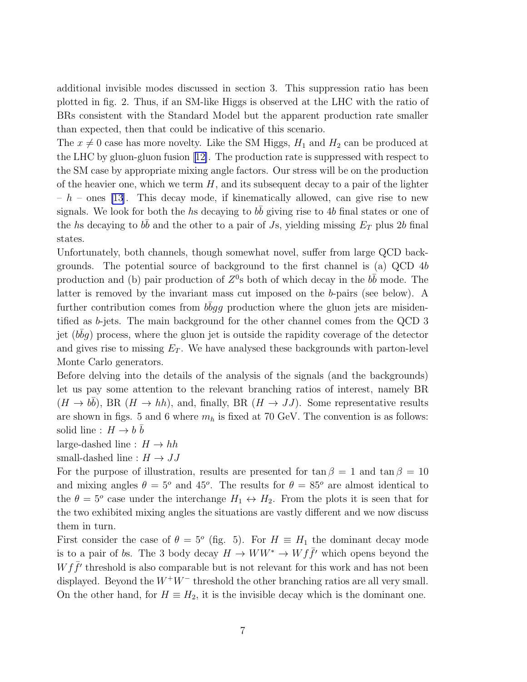additional invisible modes discussed in section 3. This suppression ratio has been plotted in fig. 2. Thus, if an SM-like Higgs is observed at the LHC with the ratio of BRs consistent with the Standard Model but the apparent production rate smaller than expected, then that could be indicative of this scenario.

The  $x \neq 0$  case has more novelty. Like the SM Higgs,  $H_1$  and  $H_2$  can be produced at the LHC by gluon-gluon fusion[[12\]](#page-13-0). The production rate is suppressed with respect to the SM case by appropriate mixing angle factors. Our stress will be on the production of the heavier one, which we term  $H$ , and its subsequent decay to a pair of the lighter  $h - h$  – ones [\[13](#page-13-0)]. This decay mode, if kinematically allowed, can give rise to new signals. We look for both the hs decaying to  $b\bar{b}$  giving rise to 4b final states or one of the hs decaying to  $b\bar{b}$  and the other to a pair of Js, yielding missing  $E_T$  plus 2b final states.

Unfortunately, both channels, though somewhat novel, suffer from large QCD backgrounds. The potential source of background to the first channel is (a) QCD 4b production and (b) pair production of  $Z^0$ s both of which decay in the  $b\bar{b}$  mode. The latter is removed by the invariant mass cut imposed on the b-pairs (see below). A further contribution comes from  $b\bar{b}gg$  production where the gluon jets are misidentified as b-jets. The main background for the other channel comes from the QCD 3 jet  $(b\bar{b}g)$  process, where the gluon jet is outside the rapidity coverage of the detector and gives rise to missing  $E_T$ . We have analysed these backgrounds with parton-level Monte Carlo generators.

Before delving into the details of the analysis of the signals (and the backgrounds) let us pay some attention to the relevant branching ratios of interest, namely BR  $(H \to b\bar{b})$ , BR  $(H \to hh)$ , and, finally, BR  $(H \to JJ)$ . Some representative results are shown in figs. 5 and 6 where  $m_h$  is fixed at 70 GeV. The convention is as follows: solid line :  $H \to b \bar{b}$ 

large-dashed line :  $H \to hh$ 

small-dashed line :  $H \rightarrow JJ$ 

For the purpose of illustration, results are presented for  $\tan \beta = 1$  and  $\tan \beta = 10$ and mixing angles  $\theta = 5^{\circ}$  and 45°. The results for  $\theta = 85^{\circ}$  are almost identical to the  $\theta = 5^{\circ}$  case under the interchange  $H_1 \leftrightarrow H_2$ . From the plots it is seen that for the two exhibited mixing angles the situations are vastly different and we now discuss them in turn.

First consider the case of  $\theta = 5^{\circ}$  (fig. 5). For  $H \equiv H_1$  the dominant decay mode is to a pair of bs. The 3 body decay  $H \to WW^* \to W f \bar{f}'$  which opens beyond the  $W f \bar{f}'$  threshold is also comparable but is not relevant for this work and has not been displayed. Beyond the  $W^+W^-$  threshold the other branching ratios are all very small. On the other hand, for  $H \equiv H_2$ , it is the invisible decay which is the dominant one.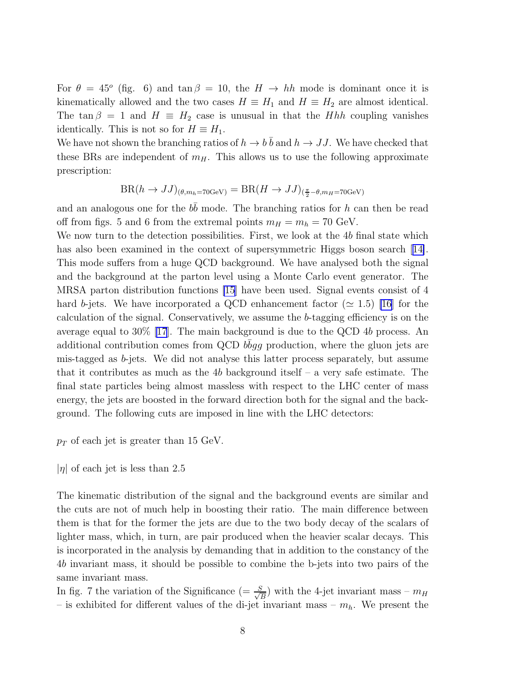For  $\theta = 45^{\circ}$  (fig. 6) and  $\tan \beta = 10$ , the  $H \rightarrow hh$  mode is dominant once it is kinematically allowed and the two cases  $H \equiv H_1$  and  $H \equiv H_2$  are almost identical. The tan  $\beta = 1$  and  $H \equiv H_2$  case is unusual in that the *Hhh* coupling vanishes identically. This is not so for  $H \equiv H_1$ .

We have not shown the branching ratios of  $h \to b\bar{b}$  and  $h \to JJ$ . We have checked that these BRs are independent of  $m<sub>H</sub>$ . This allows us to use the following approximate prescription:

$$
BR(h \to JJ)_{(\theta, m_h = 70 \text{GeV})} = BR(H \to JJ)_{(\frac{\pi}{2} - \theta, m_H = 70 \text{GeV})}
$$

and an analogous one for the  $b\bar{b}$  mode. The branching ratios for h can then be read off from figs. 5 and 6 from the extremal points  $m_H = m_h = 70$  GeV.

We now turn to the detection possibilities. First, we look at the 4b final state which hasalso been examined in the context of supersymmetric Higgs boson search [[14\]](#page-13-0). This mode suffers from a huge QCD background. We have analysed both the signal and the background at the parton level using a Monte Carlo event generator. The MRSA parton distribution functions [\[15](#page-13-0)] have been used. Signal events consist of 4 hard b-jets. We have incorporated a QCD enhancement factor ( $\simeq 1.5$ ) [\[16](#page-13-0)] for the calculation of the signal. Conservatively, we assume the b-tagging efficiency is on the average equal to 30% [\[17\]](#page-13-0). The main background is due to the QCD 4b process. An additional contribution comes from QCD  $b\bar{b}gg$  production, where the gluon jets are mis-tagged as b-jets. We did not analyse this latter process separately, but assume that it contributes as much as the 4b background itself – a very safe estimate. The final state particles being almost massless with respect to the LHC center of mass energy, the jets are boosted in the forward direction both for the signal and the background. The following cuts are imposed in line with the LHC detectors:

- $p_T$  of each jet is greater than 15 GeV.
- $|\eta|$  of each jet is less than 2.5

The kinematic distribution of the signal and the background events are similar and the cuts are not of much help in boosting their ratio. The main difference between them is that for the former the jets are due to the two body decay of the scalars of lighter mass, which, in turn, are pair produced when the heavier scalar decays. This is incorporated in the analysis by demanding that in addition to the constancy of the 4b invariant mass, it should be possible to combine the b-jets into two pairs of the same invariant mass.

In fig. 7 the variation of the Significance (=  $\frac{S}{\sqrt{2}}$  $\frac{S}{B}$ ) with the 4-jet invariant mass –  $m_H$ – is exhibited for different values of the di-jet invariant mass –  $m_h$ . We present the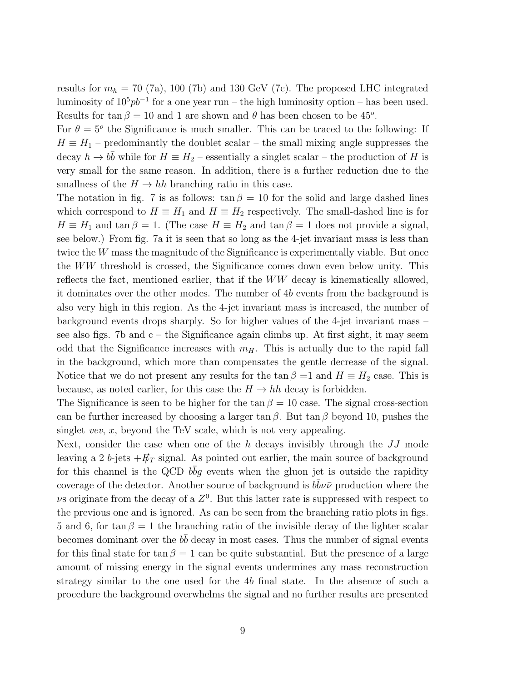results for  $m_h = 70$  (7a), 100 (7b) and 130 GeV (7c). The proposed LHC integrated luminosity of  $10^5 pb^{-1}$  for a one year run – the high luminosity option – has been used. Results for  $\tan \beta = 10$  and 1 are shown and  $\theta$  has been chosen to be 45<sup>o</sup>.

For  $\theta = 5^{\degree}$  the Significance is much smaller. This can be traced to the following: If  $H \equiv H_1$  – predominantly the doublet scalar – the small mixing angle suppresses the decay  $h \to b\bar{b}$  while for  $H \equiv H_2$  – essentially a singlet scalar – the production of H is very small for the same reason. In addition, there is a further reduction due to the smallness of the  $H \to hh$  branching ratio in this case.

The notation in fig. 7 is as follows:  $\tan \beta = 10$  for the solid and large dashed lines which correspond to  $H \equiv H_1$  and  $H \equiv H_2$  respectively. The small-dashed line is for  $H \equiv H_1$  and  $\tan \beta = 1$ . (The case  $H \equiv H_2$  and  $\tan \beta = 1$  does not provide a signal, see below.) From fig. 7a it is seen that so long as the 4-jet invariant mass is less than twice the W mass the magnitude of the Significance is experimentally viable. But once the WW threshold is crossed, the Significance comes down even below unity. This reflects the fact, mentioned earlier, that if the WW decay is kinematically allowed, it dominates over the other modes. The number of 4b events from the background is also very high in this region. As the 4-jet invariant mass is increased, the number of background events drops sharply. So for higher values of the 4-jet invariant mass – see also figs. 7b and  $c$  – the Significance again climbs up. At first sight, it may seem odd that the Significance increases with  $m_H$ . This is actually due to the rapid fall in the background, which more than compensates the gentle decrease of the signal. Notice that we do not present any results for the tan  $\beta =1$  and  $H \equiv H_2$  case. This is because, as noted earlier, for this case the  $H \to hh$  decay is forbidden.

The Significance is seen to be higher for the tan  $\beta = 10$  case. The signal cross-section can be further increased by choosing a larger tan  $\beta$ . But tan  $\beta$  beyond 10, pushes the singlet *vev*,  $x$ , beyond the TeV scale, which is not very appealing.

Next, consider the case when one of the h decays invisibly through the  $JJ$  mode leaving a 2 b-jets  $+E_T$  signal. As pointed out earlier, the main source of background for this channel is the QCD  $b\bar{b}g$  events when the gluon jet is outside the rapidity coverage of the detector. Another source of background is  $b\bar{b}\nu\bar{\nu}$  production where the  $\nu$ s originate from the decay of a  $Z^0$ . But this latter rate is suppressed with respect to the previous one and is ignored. As can be seen from the branching ratio plots in figs. 5 and 6, for tan  $\beta = 1$  the branching ratio of the invisible decay of the lighter scalar becomes dominant over the  $b\bar{b}$  decay in most cases. Thus the number of signal events for this final state for  $\tan \beta = 1$  can be quite substantial. But the presence of a large amount of missing energy in the signal events undermines any mass reconstruction strategy similar to the one used for the 4b final state. In the absence of such a procedure the background overwhelms the signal and no further results are presented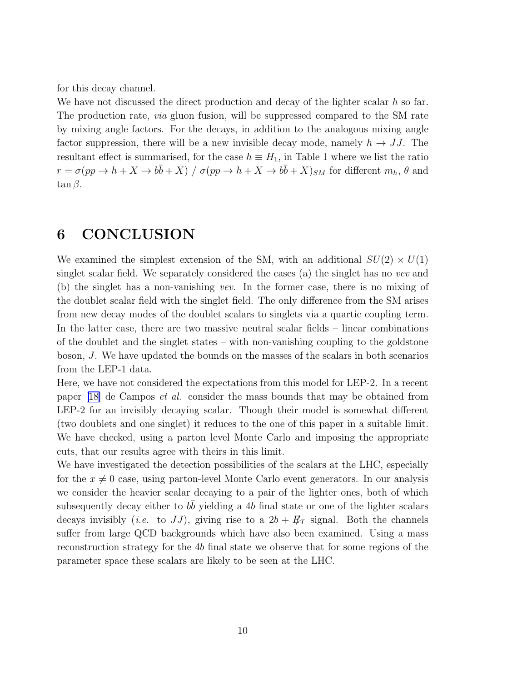for this decay channel.

We have not discussed the direct production and decay of the lighter scalar  $h$  so far. The production rate, via gluon fusion, will be suppressed compared to the SM rate by mixing angle factors. For the decays, in addition to the analogous mixing angle factor suppression, there will be a new invisible decay mode, namely  $h \to JJ$ . The resultant effect is summarised, for the case  $h \equiv H_1$ , in Table 1 where we list the ratio  $r = \sigma(pp \to h + X \to b\bar{b} + X) / \sigma(pp \to h + X \to b\bar{b} + X)_{SM}$  for different  $m_h$ ,  $\theta$  and  $\tan \beta$ .

## 6 CONCLUSION

We examined the simplest extension of the SM, with an additional  $SU(2) \times U(1)$ singlet scalar field. We separately considered the cases (a) the singlet has no vev and (b) the singlet has a non-vanishing vev. In the former case, there is no mixing of the doublet scalar field with the singlet field. The only difference from the SM arises from new decay modes of the doublet scalars to singlets via a quartic coupling term. In the latter case, there are two massive neutral scalar fields – linear combinations of the doublet and the singlet states – with non-vanishing coupling to the goldstone boson, J. We have updated the bounds on the masses of the scalars in both scenarios from the LEP-1 data.

Here, we have not considered the expectations from this model for LEP-2. In a recent paper[[18\]](#page-13-0) de Campos et al. consider the mass bounds that may be obtained from LEP-2 for an invisibly decaying scalar. Though their model is somewhat different (two doublets and one singlet) it reduces to the one of this paper in a suitable limit. We have checked, using a parton level Monte Carlo and imposing the appropriate cuts, that our results agree with theirs in this limit.

We have investigated the detection possibilities of the scalars at the LHC, especially for the  $x \neq 0$  case, using parton-level Monte Carlo event generators. In our analysis we consider the heavier scalar decaying to a pair of the lighter ones, both of which subsequently decay either to  $b\bar{b}$  yielding a 4b final state or one of the lighter scalars decays invisibly (*i.e.* to JJ), giving rise to a  $2b + E_T$  signal. Both the channels suffer from large QCD backgrounds which have also been examined. Using a mass reconstruction strategy for the 4b final state we observe that for some regions of the parameter space these scalars are likely to be seen at the LHC.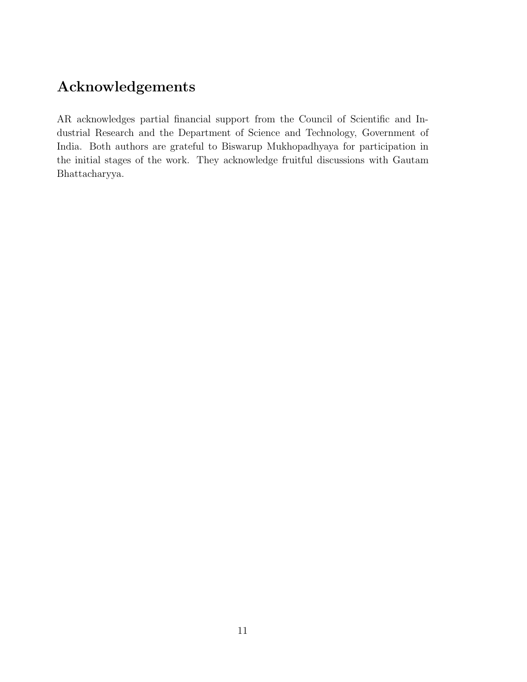# Acknowledgements

AR acknowledges partial financial support from the Council of Scientific and Industrial Research and the Department of Science and Technology, Government of India. Both authors are grateful to Biswarup Mukhopadhyaya for participation in the initial stages of the work. They acknowledge fruitful discussions with Gautam Bhattacharyya.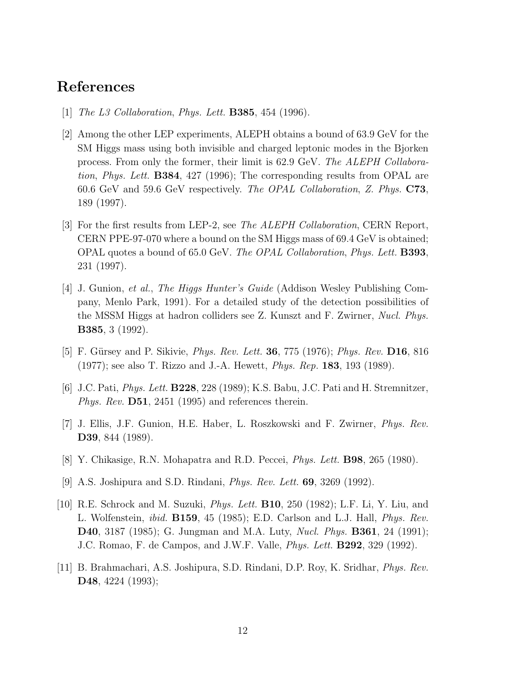#### <span id="page-12-0"></span>References

- [1] *The L3 Collaboration, Phys. Lett.* **B385**, 454 (1996).
- [2] Among the other LEP experiments, ALEPH obtains a bound of 63.9 GeV for the SM Higgs mass using both invisible and charged leptonic modes in the Bjorken process. From only the former, their limit is 62.9 GeV. The ALEPH Collaboration, Phys. Lett. B384, 427 (1996); The corresponding results from OPAL are 60.6 GeV and 59.6 GeV respectively. The OPAL Collaboration, Z. Phys. C73, 189 (1997).
- [3] For the first results from LEP-2, see The ALEPH Collaboration, CERN Report, CERN PPE-97-070 where a bound on the SM Higgs mass of 69.4 GeV is obtained; OPAL quotes a bound of 65.0 GeV. The OPAL Collaboration, Phys. Lett. B393, 231 (1997).
- [4] J. Gunion, et al., The Higgs Hunter's Guide (Addison Wesley Publishing Company, Menlo Park, 1991). For a detailed study of the detection possibilities of the MSSM Higgs at hadron colliders see Z. Kunszt and F. Zwirner, Nucl. Phys. B385, 3 (1992).
- [5] F. Gürsey and P. Sikivie, *Phys. Rev. Lett.* **36**, 775 (1976); *Phys. Rev.* **D16**, 816 (1977); see also T. Rizzo and J.-A. Hewett, Phys. Rep. 183, 193 (1989).
- [6] J.C. Pati, Phys. Lett. B228, 228 (1989); K.S. Babu, J.C. Pati and H. Stremnitzer, *Phys. Rev.*  $\mathbf{D51}$ , 2451 (1995) and references therein.
- [7] J. Ellis, J.F. Gunion, H.E. Haber, L. Roszkowski and F. Zwirner, Phys. Rev. D39, 844 (1989).
- [8] Y. Chikasige, R.N. Mohapatra and R.D. Peccei, Phys. Lett. B98, 265 (1980).
- [9] A.S. Joshipura and S.D. Rindani, Phys. Rev. Lett. 69, 3269 (1992).
- [10] R.E. Schrock and M. Suzuki, *Phys. Lett.* **B10**, 250 (1982); L.F. Li, Y. Liu, and L. Wolfenstein, *ibid.* **B159**, 45 (1985); E.D. Carlson and L.J. Hall, *Phys. Rev.* D40, 3187 (1985); G. Jungman and M.A. Luty, Nucl. Phys. B361, 24 (1991); J.C. Romao, F. de Campos, and J.W.F. Valle, Phys. Lett. B292, 329 (1992).
- [11] B. Brahmachari, A.S. Joshipura, S.D. Rindani, D.P. Roy, K. Sridhar, Phys. Rev. D48, 4224 (1993);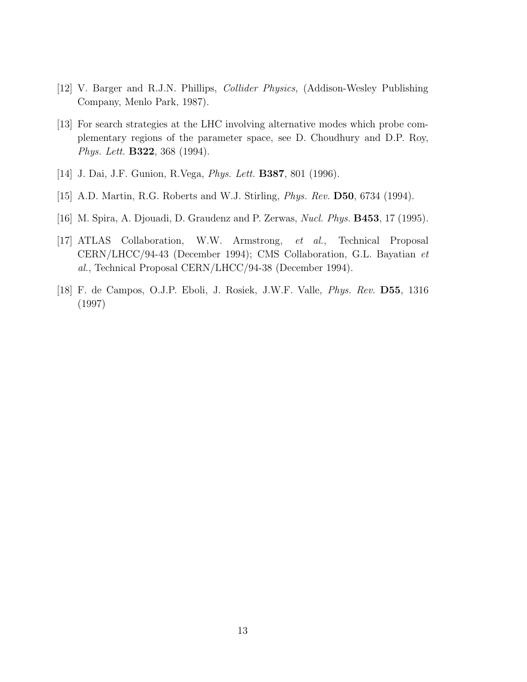- <span id="page-13-0"></span>[12] V. Barger and R.J.N. Phillips, Collider Physics, (Addison-Wesley Publishing Company, Menlo Park, 1987).
- [13] For search strategies at the LHC involving alternative modes which probe complementary regions of the parameter space, see D. Choudhury and D.P. Roy, Phys. Lett. B322, 368 (1994).
- [14] J. Dai, J.F. Gunion, R.Vega, Phys. Lett. B387, 801 (1996).
- [15] A.D. Martin, R.G. Roberts and W.J. Stirling, Phys. Rev. D50, 6734 (1994).
- [16] M. Spira, A. Djouadi, D. Graudenz and P. Zerwas, Nucl. Phys. B453, 17 (1995).
- [17] ATLAS Collaboration, W.W. Armstrong, et al., Technical Proposal CERN/LHCC/94-43 (December 1994); CMS Collaboration, G.L. Bayatian et al., Technical Proposal CERN/LHCC/94-38 (December 1994).
- [18] F. de Campos, O.J.P. Eboli, J. Rosiek, J.W.F. Valle, Phys. Rev. D55, 1316 (1997)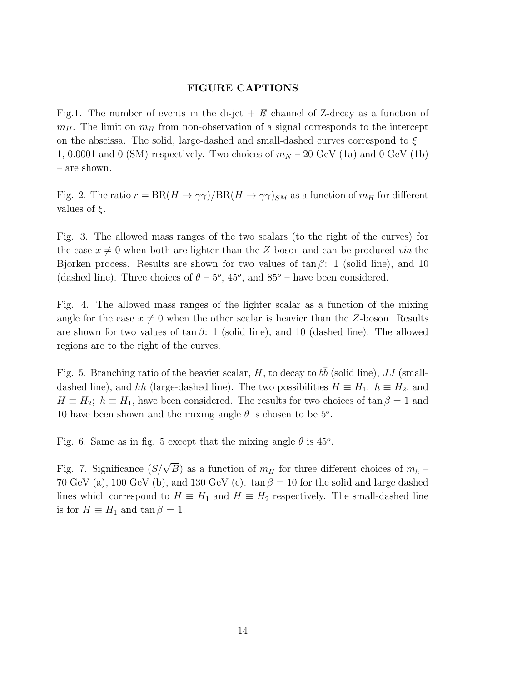#### FIGURE CAPTIONS

Fig.1. The number of events in the di-jet  $+$   $E$  channel of Z-decay as a function of  $m_H$ . The limit on  $m_H$  from non-observation of a signal corresponds to the intercept on the abscissa. The solid, large-dashed and small-dashed curves correspond to  $\xi =$ 1, 0.0001 and 0 (SM) respectively. Two choices of  $m_N - 20$  GeV (1a) and 0 GeV (1b) – are shown.

Fig. 2. The ratio  $r = BR(H \to \gamma\gamma)/BR(H \to \gamma\gamma)_{SM}$  as a function of  $m_H$  for different values of  $\xi$ .

Fig. 3. The allowed mass ranges of the two scalars (to the right of the curves) for the case  $x \neq 0$  when both are lighter than the Z-boson and can be produced via the Bjorken process. Results are shown for two values of  $\tan \beta$ : 1 (solid line), and 10 (dashed line). Three choices of  $\theta - 5^{\circ}$ , 45<sup>o</sup>, and 85<sup>o</sup> – have been considered.

Fig. 4. The allowed mass ranges of the lighter scalar as a function of the mixing angle for the case  $x \neq 0$  when the other scalar is heavier than the Z-boson. Results are shown for two values of  $\tan \beta$ : 1 (solid line), and 10 (dashed line). The allowed regions are to the right of the curves.

Fig. 5. Branching ratio of the heavier scalar, H, to decay to  $b\bar{b}$  (solid line), JJ (smalldashed line), and hh (large-dashed line). The two possibilities  $H \equiv H_1$ ;  $h \equiv H_2$ , and  $H \equiv H_2$ ;  $h \equiv H_1$ , have been considered. The results for two choices of  $\tan \beta = 1$  and 10 have been shown and the mixing angle  $\theta$  is chosen to be  $5^{\circ}$ .

Fig. 6. Same as in fig. 5 except that the mixing angle  $\theta$  is  $45^{\circ}$ .

Fig. 7. Significance  $(S/\sqrt{B})$  as a function of  $m_H$  for three different choices of  $m_h$  – 70 GeV (a), 100 GeV (b), and 130 GeV (c).  $\tan \beta = 10$  for the solid and large dashed lines which correspond to  $H \equiv H_1$  and  $H \equiv H_2$  respectively. The small-dashed line is for  $H \equiv H_1$  and  $\tan \beta = 1$ .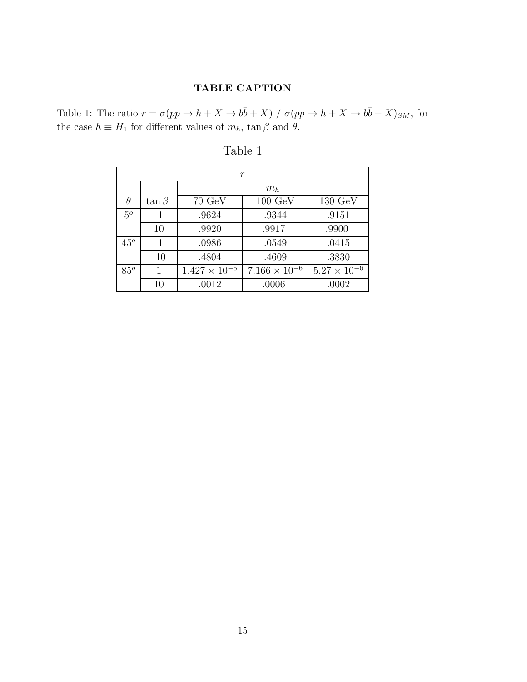#### TABLE CAPTION

Table 1: The ratio  $r = \sigma(pp \to h + X \to b\bar{b} + X) / \sigma(pp \to h + X \to b\bar{b} + X)_{SM}$ , for the case  $h \equiv H_1$  for different values of  $m_h$ ,  $\tan \beta$  and  $\theta$ .

| r            |              |                        |                        |                       |
|--------------|--------------|------------------------|------------------------|-----------------------|
|              |              | $m_h$                  |                        |                       |
| $\theta$     | $\tan \beta$ | $70 \text{ GeV}$       | $100~\mathrm{GeV}$     | 130 GeV               |
| $5^o$        | 1            | .9624                  | .9344                  | .9151                 |
|              | 10           | .9920                  | .9917                  | .9900                 |
| $45^{\circ}$ | 1            | .0986                  | .0549                  | .0415                 |
|              | 10           | .4804                  | .4609                  | .3830                 |
| $85^o$       | 1            | $1.427 \times 10^{-5}$ | $7.166 \times 10^{-6}$ | $5.27 \times 10^{-6}$ |
|              | 10           | .0012                  | .0006                  | .0002                 |

Table 1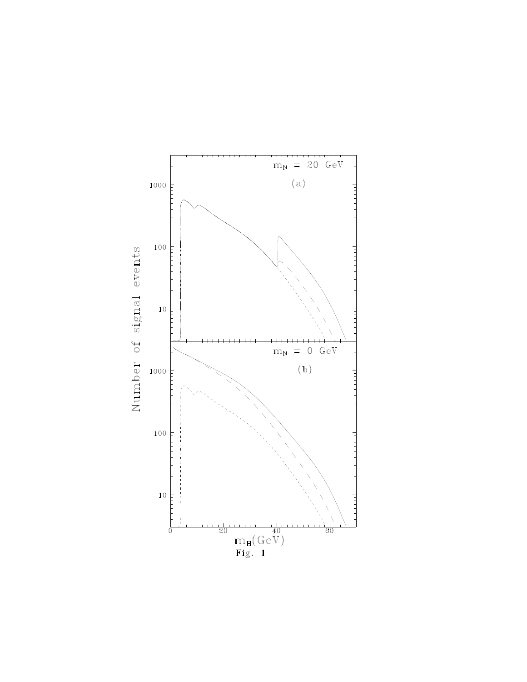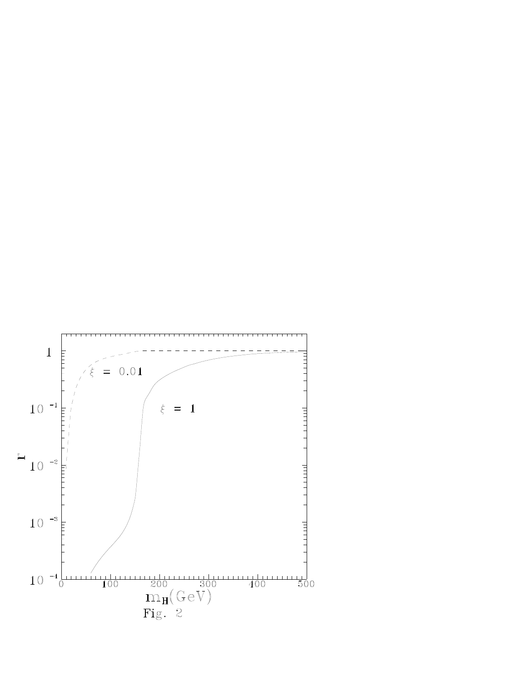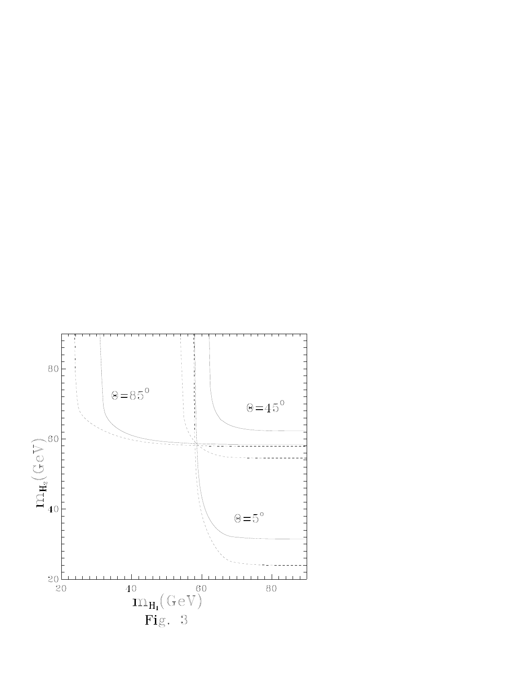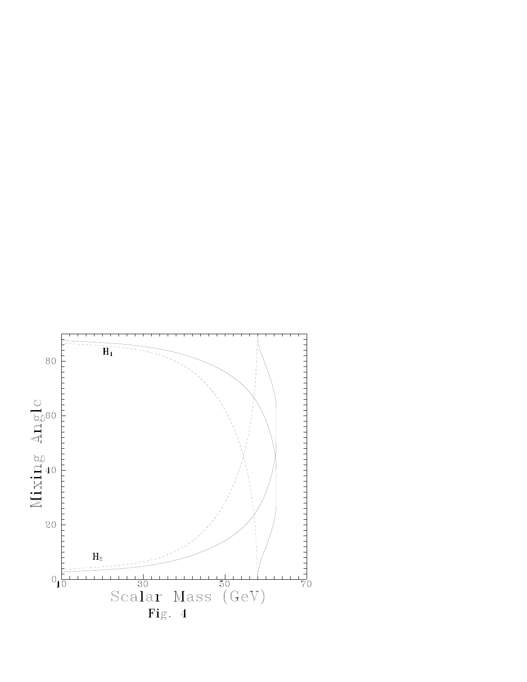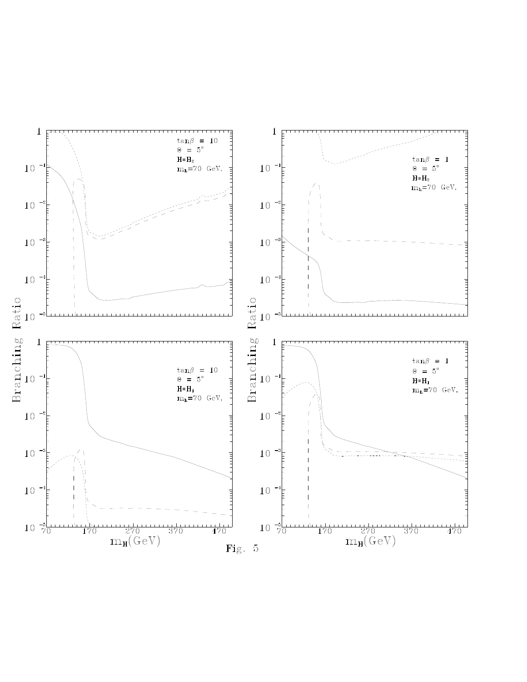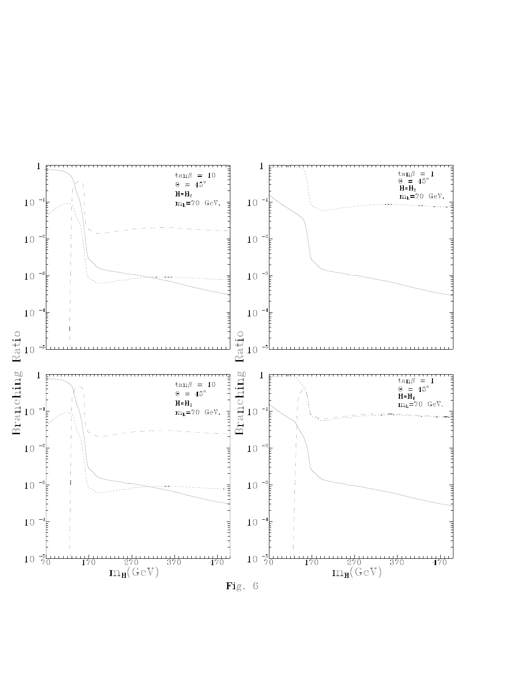